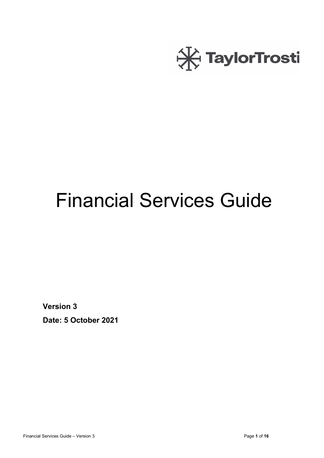

# Financial Services Guide

**Version 3**

**Date: 5 October 2021**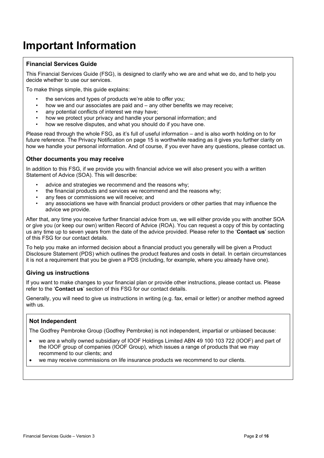## **Important Information**

#### **Financial Services Guide**

This Financial Services Guide (FSG), is designed to clarify who we are and what we do, and to help you decide whether to use our services.

To make things simple, this guide explains:

- the services and types of products we're able to offer you:
- how we and our associates are paid and any other benefits we may receive;
- any potential conflicts of interest we may have:
- how we protect your privacy and handle your personal information; and
- how we resolve disputes, and what you should do if you have one.

Please read through the whole FSG, as it's full of useful information – and is also worth holding on to for future reference. The Privacy Notification on page 15 is worthwhile reading as it gives you further clarity on how we handle your personal information. And of course, if you ever have any questions, please contact us.

#### **Other documents you may receive**

In addition to this FSG, if we provide you with financial advice we will also present you with a written Statement of Advice (SOA). This will describe:

- advice and strategies we recommend and the reasons why:
- the financial products and services we recommend and the reasons why;
- any fees or commissions we will receive; and
- any associations we have with financial product providers or other parties that may influence the advice we provide.

After that, any time you receive further financial advice from us, we will either provide you with another SOA or give you (or keep our own) written Record of Advice (ROA). You can request a copy of this by contacting us any time up to seven years from the date of the advice provided. Please refer to the '**Contact us**' section of this FSG for our contact details.

To help you make an informed decision about a financial product you generally will be given a Product Disclosure Statement (PDS) which outlines the product features and costs in detail. In certain circumstances it is not a requirement that you be given a PDS (including, for example, where you already have one).

#### **Giving us instructions**

If you want to make changes to your financial plan or provide other instructions, please contact us. Please refer to the '**Contact us**' section of this FSG for our contact details.

Generally, you will need to give us instructions in writing (e.g. fax, email or letter) or another method agreed with us.

#### **Not Independent**

The Godfrey Pembroke Group (Godfrey Pembroke) is not independent, impartial or unbiased because:

- we are a wholly owned subsidiary of IOOF Holdings Limited ABN 49 100 103 722 (IOOF) and part of the IOOF group of companies (IOOF Group), which issues a range of products that we may recommend to our clients; and
- we may receive commissions on life insurance products we recommend to our clients.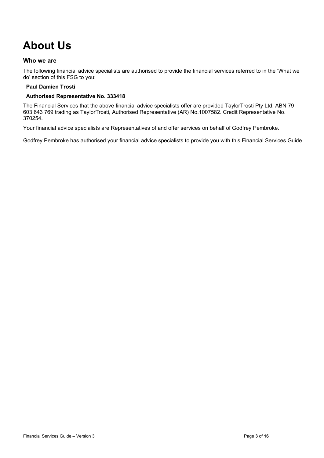# **About Us**

#### **Who we are**

The following financial advice specialists are authorised to provide the financial services referred to in the 'What we do' section of this FSG to you:

#### **Paul Damien Trosti**

#### **Authorised Representative No. 333418**

The Financial Services that the above financial advice specialists offer are provided TaylorTrosti Pty Ltd, ABN 79 603 643 769 trading as TaylorTrosti, Authorised Representative (AR) No.1007582. Credit Representative No. 370254.

Your financial advice specialists are Representatives of and offer services on behalf of Godfrey Pembroke.

Godfrey Pembroke has authorised your financial advice specialists to provide you with this Financial Services Guide.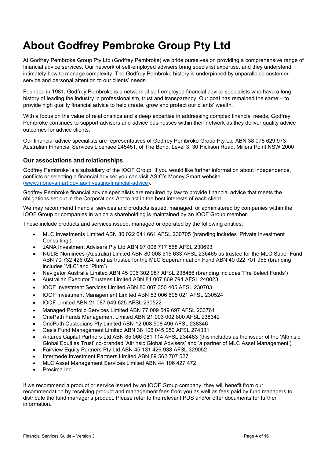At Godfrey Pembroke Group Pty Ltd (Godfrey Pembroke) we pride ourselves on providing a comprehensive range of financial advice services. Our network of self-employed advisers bring specialist expertise, and they understand intimately how to manage complexity. The Godfrey Pembroke history is underpinned by unparalleled customer service and personal attention to our clients' needs.

Founded in 1981, Godfrey Pembroke is a network of self-employed financial advice specialists who have a long history of leading the industry in professionalism, trust and transparency. Our goal has remained the same – to provide high quality financial advice to help create, grow and protect our clients' wealth.

With a focus on the value of relationships and a deep expertise in addressing complex financial needs, Godfrey Pembroke continues to support advisers and advice businesses within their network as they deliver quality advice outcomes for advice clients.

Our financial advice specialists are representatives of Godfrey Pembroke Group Pty Ltd ABN 38 078 629 973 Australian Financial Services Licensee 245451, of The Bond, Level 3, 30 Hickson Road, Millers Point NSW 2000

#### **Our associations and relationships**

Godfrey Pembroke is a subsidiary of the IOOF Group. If you would like further information about independence, conflicts or selecting a financial adviser you can visit ASIC's Money Smart website [\(www.moneysmart.gov.au/investing/financial-advice\)](http://www.moneysmart.gov.au/investing/financial-advice).

Godfrey Pembroke financial advice specialists are required by law to provide financial advice that meets the obligations set out in the Corporations Act to act in the best interests of each client.

We may recommend financial services and products issued, managed, or administered by companies within the IOOF Group or companies in which a shareholding is maintained by an IOOF Group member.

These include products and services issued, managed or operated by the following entities:

- MLC Investments Limited ABN 30 022 641 661 AFSL 230705 (branding includes 'Private Investment Consulting')
- JANA Investment Advisers Pty Ltd ABN 97 006 717 568 AFSL 230693
- NULIS Nominees (Australia) Limited ABN 80 008 515 633 AFSL 236465 as trustee for the MLC Super Fund ABN 70 732 426 024, and as trustee for the MLC Superannuation Fund ABN 40 022 701 955 (branding includes 'MLC' and 'Plum')
- Navigator Australia Limited ABN 45 006 302 987 AFSL 236466 (branding includes 'Pre Select Funds')
- Australian Executor Trustees Limited ABN 84 007 869 794 AFSL 240023
- IOOF Investment Services Limited ABN 80 007 350 405 AFSL 230703
- IOOF Investment Management Limited ABN 53 006 695 021 AFSL 230524
- IOOF Limited ABN 21 087 649 625 AFSL 230522
- Managed Portfolio Services Limited ABN 77 009 549 697 AFSL 233761
- OnePath Funds Management Limited ABN 21 003 002 800 AFSL 238342
- OnePath Custodians Pty Limited ABN 12 008 508 496 AFSL 238346
- Oasis Fund Management Limited ABN 38 106 045 050 AFSL 274331
- Antares Capital Partners Ltd ABN 85 066 081 114 AFSL 234483 (this includes as the issuer of the 'Altrinsic Global Equities Trust' co-branded 'Altrinsic Global Advisers' and 'a partner of MLC Asset Management')
- Fairview Equity Partners Pty Ltd ABN 45 131 426 938 AFSL 329052
- Intermede Investment Partners Limited ABN 89 562 707 527
- MLC Asset Management Services Limited ABN 44 106 427 472
- Presima Inc

If we recommend a product or service issued by an IOOF Group company, they will benefit from our recommendation by receiving product and management fees from you as well as fees paid by fund managers to distribute the fund manager's product. Please refer to the relevant PDS and/or offer documents for further information.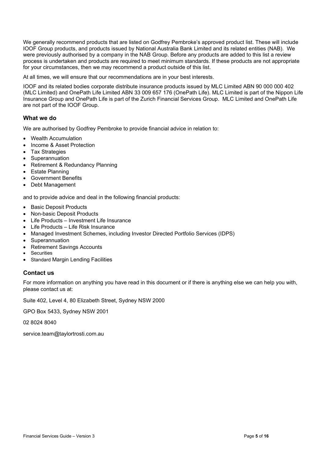We generally recommend products that are listed on Godfrey Pembroke's approved product list. These will include IOOF Group products, and products issued by National Australia Bank Limited and its related entities (NAB). We were previously authorised by a company in the NAB Group. Before any products are added to this list a review process is undertaken and products are required to meet minimum standards. If these products are not appropriate for your circumstances, then we may recommend a product outside of this list.

At all times, we will ensure that our recommendations are in your best interests.

IOOF and its related bodies corporate distribute insurance products issued by MLC Limited ABN 90 000 000 402 (MLC Limited) and OnePath Life Limited ABN 33 009 657 176 (OnePath Life). MLC Limited is part of the Nippon Life Insurance Group and OnePath Life is part of the Zurich Financial Services Group. MLC Limited and OnePath Life are not part of the IOOF Group.

#### **What we do**

We are authorised by Godfrey Pembroke to provide financial advice in relation to:

- Wealth Accumulation
- Income & Asset Protection
- Tax Strategies
- **Superannuation**
- Retirement & Redundancy Planning
- Estate Planning
- Government Benefits
- Debt Management

and to provide advice and deal in the following financial products:

- **Basic Deposit Products**
- Non-basic Deposit Products
- Life Products Investment Life Insurance
- Life Products Life Risk Insurance
- Managed Investment Schemes, including Investor Directed Portfolio Services (IDPS)
- Superannuation
- Retirement Savings Accounts
- **Securities**
- Standard Margin Lending Facilities

#### **Contact us**

For more information on anything you have read in this document or if there is anything else we can help you with, please contact us at:

Suite 402, Level 4, 80 Elizabeth Street, Sydney NSW 2000

GPO Box 5433, Sydney NSW 2001

02 8024 8040

service.team@taylortrosti.com.au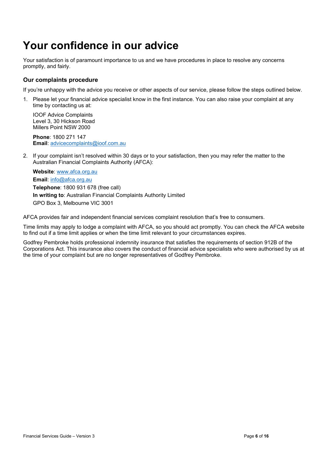## **Your confidence in our advice**

Your satisfaction is of paramount importance to us and we have procedures in place to resolve any concerns promptly, and fairly.

#### **Our complaints procedure**

If you're unhappy with the advice you receive or other aspects of our service, please follow the steps outlined below.

1. Please let your financial advice specialist know in the first instance. You can also raise your complaint at any time by contacting us at:

IOOF Advice Complaints Level 3, 30 Hickson Road Millers Point NSW 2000

**Phone**: 1800 271 147 **Email**: [advicecomplaints@ioof.com.au](mailto:advicecomplaints@ioof.com.au)

2. If your complaint isn't resolved within 30 days or to your satisfaction, then you may refer the matter to the Australian Financial Complaints Authority (AFCA):

**Website**: [www.afca.org.au](http://www.afca.org.au/) **Email**: [info@afca.org.au](mailto:info@afca.org.au) **Telephone**: 1800 931 678 (free call) **In writing to**: Australian Financial Complaints Authority Limited GPO Box 3, Melbourne VIC 3001

AFCA provides fair and independent financial services complaint resolution that's free to consumers.

Time limits may apply to lodge a complaint with AFCA, so you should act promptly. You can check the AFCA website to find out if a time limit applies or when the time limit relevant to your circumstances expires.

Godfrey Pembroke holds professional indemnity insurance that satisfies the requirements of section 912B of the Corporations Act. This insurance also covers the conduct of financial advice specialists who were authorised by us at the time of your complaint but are no longer representatives of Godfrey Pembroke.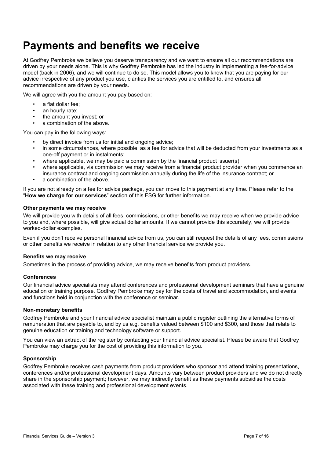### **Payments and benefits we receive**

At Godfrey Pembroke we believe you deserve transparency and we want to ensure all our recommendations are driven by your needs alone. This is why Godfrey Pembroke has led the industry in implementing a fee-for-advice model (back in 2006), and we will continue to do so. This model allows you to know that you are paying for our advice irrespective of any product you use, clarifies the services you are entitled to, and ensures all recommendations are driven by your needs.

We will agree with you the amount you pay based on:

- a flat dollar fee;
- an hourly rate;
- the amount you invest; or
- a combination of the above.

You can pay in the following ways:

- by direct invoice from us for initial and ongoing advice:
- in some circumstances, where possible, as a fee for advice that will be deducted from your investments as a one-off payment or in instalments;
- where applicable, we may be paid a commission by the financial product issuer(s);
- where applicable, via commission we may receive from a financial product provider when you commence an
- insurance contract and ongoing commission annually during the life of the insurance contract; or
- a combination of the above.

If you are not already on a fee for advice package, you can move to this payment at any time. Please refer to the "**How we charge for our services**" section of this FSG for further information.

#### **Other payments we may receive**

We will provide you with details of all fees, commissions, or other benefits we may receive when we provide advice to you and, where possible, will give actual dollar amounts. If we cannot provide this accurately, we will provide worked-dollar examples.

Even if you don't receive personal financial advice from us, you can still request the details of any fees, commissions or other benefits we receive in relation to any other financial service we provide you.

#### **Benefits we may receive**

Sometimes in the process of providing advice, we may receive benefits from product providers.

#### **Conferences**

Our financial advice specialists may attend conferences and professional development seminars that have a genuine education or training purpose. Godfrey Pembroke may pay for the costs of travel and accommodation, and events and functions held in conjunction with the conference or seminar.

#### **Non-monetary benefits**

Godfrey Pembroke and your financial advice specialist maintain a public register outlining the alternative forms of remuneration that are payable to, and by us e.g. benefits valued between \$100 and \$300, and those that relate to genuine education or training and technology software or support.

You can view an extract of the register by contacting your financial advice specialist. Please be aware that Godfrey Pembroke may charge you for the cost of providing this information to you.

#### **Sponsorship**

Godfrey Pembroke receives cash payments from product providers who sponsor and attend training presentations, conferences and/or professional development days. Amounts vary between product providers and we do not directly share in the sponsorship payment; however, we may indirectly benefit as these payments subsidise the costs associated with these training and professional development events.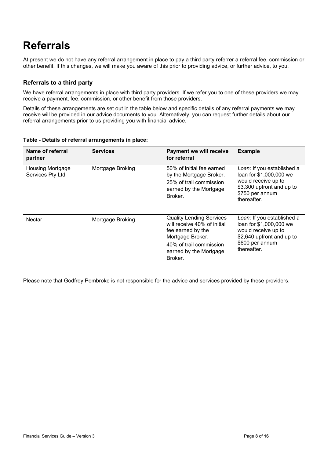# **Referrals**

At present we do not have any referral arrangement in place to pay a third party referrer a referral fee, commission or other benefit. If this changes, we will make you aware of this prior to providing advice, or further advice, to you.

#### **Referrals to a third party**

We have referral arrangements in place with third party providers. If we refer you to one of these providers we may receive a payment, fee, commission, or other benefit from those providers.

Details of these arrangements are set out in the table below and specific details of any referral payments we may receive will be provided in our advice documents to you. Alternatively, you can request further details about our referral arrangements prior to us providing you with financial advice.

| Name of referral<br>partner                 | <b>Services</b>  | <b>Payment we will receive</b><br>for referral                                                                                                                          | <b>Example</b>                                                                                                                              |
|---------------------------------------------|------------------|-------------------------------------------------------------------------------------------------------------------------------------------------------------------------|---------------------------------------------------------------------------------------------------------------------------------------------|
| <b>Housing Mortgage</b><br>Services Pty Ltd | Mortgage Broking | 50% of initial fee earned<br>by the Mortgage Broker.<br>25% of trail commission<br>earned by the Mortgage<br>Broker.                                                    | Loan: If you established a<br>loan for \$1,000,000 we<br>would receive up to<br>\$3,300 upfront and up to<br>\$750 per annum<br>thereafter. |
| Nectar                                      | Mortgage Broking | <b>Quality Lending Services</b><br>will receive 40% of initial<br>fee earned by the<br>Mortgage Broker.<br>40% of trail commission<br>earned by the Mortgage<br>Broker. | Loan: If you established a<br>loan for \$1,000,000 we<br>would receive up to<br>\$2,640 upfront and up to<br>\$600 per annum<br>thereafter. |

#### **Table - Details of referral arrangements in place:**

Please note that Godfrey Pembroke is not responsible for the advice and services provided by these providers.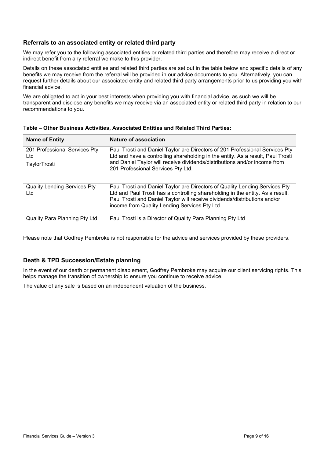#### **Referrals to an associated entity or related third party**

We may refer you to the following associated entities or related third parties and therefore may receive a direct or indirect benefit from any referral we make to this provider.

Details on these associated entities and related third parties are set out in the table below and specific details of any benefits we may receive from the referral will be provided in our advice documents to you. Alternatively, you can request further details about our associated entity and related third party arrangements prior to us providing you with financial advice.

We are obligated to act in your best interests when providing you with financial advice, as such we will be transparent and disclose any benefits we may receive via an associated entity or related third party in relation to our recommendations to you.

| <b>Name of Entity</b>                                | Nature of association                                                                                                                                                                                                                                                                       |
|------------------------------------------------------|---------------------------------------------------------------------------------------------------------------------------------------------------------------------------------------------------------------------------------------------------------------------------------------------|
| 201 Professional Services Pty<br>Ltd<br>TaylorTrosti | Paul Trosti and Daniel Taylor are Directors of 201 Professional Services Pty<br>Ltd and have a controlling shareholding in the entity. As a result, Paul Trosti<br>and Daniel Taylor will receive dividends/distributions and/or income from<br>201 Professional Services Pty Ltd.          |
| <b>Quality Lending Services Pty</b><br>Ltd           | Paul Trosti and Daniel Taylor are Directors of Quality Lending Services Pty<br>Ltd and Paul Trosti has a controlling shareholding in the entity. As a result,<br>Paul Trosti and Daniel Taylor will receive dividends/distributions and/or<br>income from Quality Lending Services Pty Ltd. |
| Quality Para Planning Pty Ltd                        | Paul Trosti is a Director of Quality Para Planning Pty Ltd                                                                                                                                                                                                                                  |

#### T**able – Other Business Activities, Associated Entities and Related Third Parties:**

Please note that Godfrey Pembroke is not responsible for the advice and services provided by these providers.

#### **Death & TPD Succession/Estate planning**

In the event of our death or permanent disablement, Godfrey Pembroke may acquire our client servicing rights. This helps manage the transition of ownership to ensure you continue to receive advice.

The value of any sale is based on an independent valuation of the business.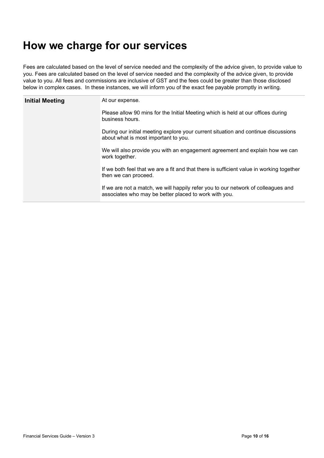### **How we charge for our services**

Fees are calculated based on the level of service needed and the complexity of the advice given, to provide value to you. Fees are calculated based on the level of service needed and the complexity of the advice given, to provide value to you. All fees and commissions are inclusive of GST and the fees could be greater than those disclosed below in complex cases. In these instances, we will inform you of the exact fee payable promptly in writing.

| <b>Initial Meeting</b> | At our expense.                                                                                                                            |  |  |
|------------------------|--------------------------------------------------------------------------------------------------------------------------------------------|--|--|
|                        | Please allow 90 mins for the Initial Meeting which is held at our offices during<br>business hours.                                        |  |  |
|                        | During our initial meeting explore your current situation and continue discussions<br>about what is most important to you.                 |  |  |
|                        | We will also provide you with an engagement agreement and explain how we can<br>work together.                                             |  |  |
|                        | If we both feel that we are a fit and that there is sufficient value in working together<br>then we can proceed.                           |  |  |
|                        | If we are not a match, we will happily refer you to our network of colleagues and<br>associates who may be better placed to work with you. |  |  |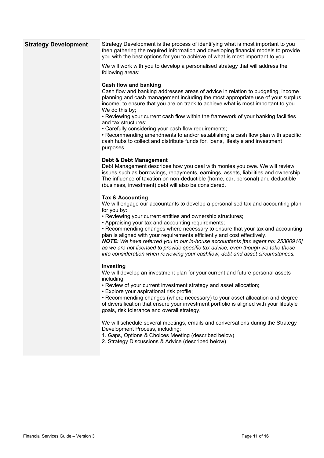| <b>Strategy Development</b> | Strategy Development is the process of identifying what is most important to you<br>then gathering the required information and developing financial models to provide<br>you with the best options for you to achieve of what is most important to you.                                                                                                                                                                                                                                                                                                                                                                                                                  |  |
|-----------------------------|---------------------------------------------------------------------------------------------------------------------------------------------------------------------------------------------------------------------------------------------------------------------------------------------------------------------------------------------------------------------------------------------------------------------------------------------------------------------------------------------------------------------------------------------------------------------------------------------------------------------------------------------------------------------------|--|
|                             | We will work with you to develop a personalised strategy that will address the<br>following areas:                                                                                                                                                                                                                                                                                                                                                                                                                                                                                                                                                                        |  |
|                             | Cash flow and banking<br>Cash flow and banking addresses areas of advice in relation to budgeting, income<br>planning and cash management including the most appropriate use of your surplus<br>income, to ensure that you are on track to achieve what is most important to you.<br>We do this by;<br>• Reviewing your current cash flow within the framework of your banking facilities<br>and tax structures;<br>• Carefully considering your cash flow requirements;<br>• Recommending amendments to and/or establishing a cash flow plan with specific<br>cash hubs to collect and distribute funds for, loans, lifestyle and investment<br>purposes.                |  |
|                             | <b>Debt &amp; Debt Management</b><br>Debt Management describes how you deal with monies you owe. We will review<br>issues such as borrowings, repayments, earnings, assets, liabilities and ownership.<br>The influence of taxation on non-deductible (home, car, personal) and deductible<br>(business, investment) debt will also be considered.                                                                                                                                                                                                                                                                                                                        |  |
|                             | <b>Tax &amp; Accounting</b><br>We will engage our accountants to develop a personalised tax and accounting plan<br>for you by:<br>• Reviewing your current entities and ownership structures;<br>• Appraising your tax and accounting requirements;<br>• Recommending changes where necessary to ensure that your tax and accounting<br>plan is aligned with your requirements efficiently and cost effectively.<br>NOTE: We have referred you to our in-house accountants [tax agent no: 25300916]<br>as we are not licensed to provide specific tax advice, even though we take these<br>into consideration when reviewing your cashflow, debt and asset circumstances. |  |
|                             | Investing<br>We will develop an investment plan for your current and future personal assets<br>including:<br>• Review of your current investment strategy and asset allocation;<br>• Explore your aspirational risk profile;<br>• Recommending changes (where necessary) to your asset allocation and degree<br>of diversification that ensure your investment portfolio is aligned with your lifestyle<br>goals, risk tolerance and overall strategy.                                                                                                                                                                                                                    |  |
|                             | We will schedule several meetings, emails and conversations during the Strategy<br>Development Process, including:<br>1. Gaps, Options & Choices Meeting (described below)<br>2. Strategy Discussions & Advice (described below)                                                                                                                                                                                                                                                                                                                                                                                                                                          |  |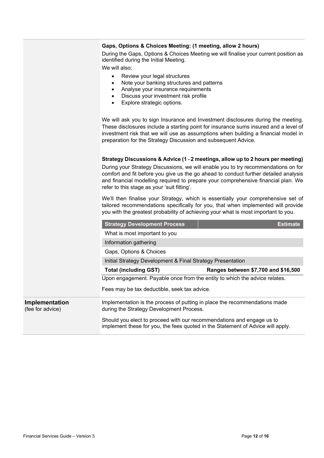#### **Gaps, Options & Choices Meeting: (1 meeting, allow 2 hours)**

During the Gaps, Options & Choices Meeting we will finalise your current position as identified during the Initial Meeting.

We will also;

- Review your legal structures
- Note your banking structures and patterns
- Analyse your insurance requirements
- Discuss your investment risk profile
- Explore strategic options.

We will ask you to sign Insurance and Investment disclosures during the meeting. These disclosures include a starting point for insurance sums insured and a level of investment risk that we will use as assumptions when building a financial model in preparation for the Strategy Discussion and subsequent Advice.

#### **Strategy Discussions & Advice (1 - 2 meetings, allow up to 2 hours per meeting)**

During your Strategy Discussions, we will enable you to try recommendations on for comfort and fit before you give us the go ahead to conduct further detailed analysis and financial modelling required to prepare your comprehensive financial plan. We refer to this stage as your 'suit fitting'.

We'll then finalise your Strategy, which is essentially your comprehensive set of tailored recommendations specifically for you, that when implemented will provide you with the greatest probability of achieving your what is most important to you.

|                                    | <b>Strategy Development Process</b>                                                                                                                      | <b>Estimate</b>                     |  |
|------------------------------------|----------------------------------------------------------------------------------------------------------------------------------------------------------|-------------------------------------|--|
|                                    | What is most important to you                                                                                                                            |                                     |  |
|                                    | Information gathering                                                                                                                                    |                                     |  |
|                                    | Gaps, Options & Choices                                                                                                                                  |                                     |  |
|                                    | Initial Strategy Development & Final Strategy Presentation                                                                                               |                                     |  |
|                                    | <b>Total (including GST)</b>                                                                                                                             | Ranges between \$7,700 and \$16,500 |  |
|                                    | Upon engagement. Payable once from the entity to which the advice relates.                                                                               |                                     |  |
|                                    | Fees may be tax deductible, seek tax advice.                                                                                                             |                                     |  |
| Implementation<br>(fee for advice) | Implementation is the process of putting in place the recommendations made<br>during the Strategy Development Process.                                   |                                     |  |
|                                    | Should you elect to proceed with our recommendations and engage us to<br>implement these for you, the fees quoted in the Statement of Advice will apply. |                                     |  |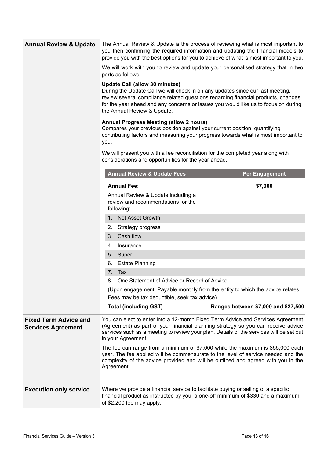| <b>Annual Review &amp; Update</b>                         | The Annual Review & Update is the process of reviewing what is most important to<br>you then confirming the required information and updating the financial models to<br>provide you with the best options for you to achieve of what is most important to you.                                                                                                                                                                                                                                                                                                 |                                     |  |
|-----------------------------------------------------------|-----------------------------------------------------------------------------------------------------------------------------------------------------------------------------------------------------------------------------------------------------------------------------------------------------------------------------------------------------------------------------------------------------------------------------------------------------------------------------------------------------------------------------------------------------------------|-------------------------------------|--|
|                                                           | We will work with you to review and update your personalised strategy that in two<br>parts as follows:                                                                                                                                                                                                                                                                                                                                                                                                                                                          |                                     |  |
|                                                           | <b>Update Call (allow 30 minutes)</b><br>During the Update Call we will check in on any updates since our last meeting,<br>review several compliance related questions regarding financial products, changes<br>for the year ahead and any concerns or issues you would like us to focus on during<br>the Annual Review & Update.<br><b>Annual Progress Meeting (allow 2 hours)</b><br>Compares your previous position against your current position, quantifying<br>contributing factors and measuring your progress towards what is most important to<br>you. |                                     |  |
|                                                           |                                                                                                                                                                                                                                                                                                                                                                                                                                                                                                                                                                 |                                     |  |
|                                                           | We will present you with a fee reconciliation for the completed year along with<br>considerations and opportunities for the year ahead.                                                                                                                                                                                                                                                                                                                                                                                                                         |                                     |  |
|                                                           | <b>Annual Review &amp; Update Fees</b>                                                                                                                                                                                                                                                                                                                                                                                                                                                                                                                          | <b>Per Engagement</b>               |  |
|                                                           | <b>Annual Fee:</b>                                                                                                                                                                                                                                                                                                                                                                                                                                                                                                                                              | \$7,000                             |  |
|                                                           | Annual Review & Update including a<br>review and recommendations for the<br>following:                                                                                                                                                                                                                                                                                                                                                                                                                                                                          |                                     |  |
|                                                           | 1. Net Asset Growth                                                                                                                                                                                                                                                                                                                                                                                                                                                                                                                                             |                                     |  |
|                                                           | 2.<br>Strategy progress                                                                                                                                                                                                                                                                                                                                                                                                                                                                                                                                         |                                     |  |
|                                                           | Cash flow<br>3.                                                                                                                                                                                                                                                                                                                                                                                                                                                                                                                                                 |                                     |  |
|                                                           | Insurance<br>4.                                                                                                                                                                                                                                                                                                                                                                                                                                                                                                                                                 |                                     |  |
|                                                           | 5. Super                                                                                                                                                                                                                                                                                                                                                                                                                                                                                                                                                        |                                     |  |
|                                                           | <b>Estate Planning</b><br>6.                                                                                                                                                                                                                                                                                                                                                                                                                                                                                                                                    |                                     |  |
|                                                           | Tax<br>7.                                                                                                                                                                                                                                                                                                                                                                                                                                                                                                                                                       |                                     |  |
|                                                           | One Statement of Advice or Record of Advice<br>8.                                                                                                                                                                                                                                                                                                                                                                                                                                                                                                               |                                     |  |
|                                                           | (Upon engagement. Payable monthly from the entity to which the advice relates.                                                                                                                                                                                                                                                                                                                                                                                                                                                                                  |                                     |  |
|                                                           | Fees may be tax deductible, seek tax advice).                                                                                                                                                                                                                                                                                                                                                                                                                                                                                                                   |                                     |  |
|                                                           | <b>Total (including GST)</b>                                                                                                                                                                                                                                                                                                                                                                                                                                                                                                                                    | Ranges between \$7,000 and \$27,500 |  |
| <b>Fixed Term Advice and</b><br><b>Services Agreement</b> | You can elect to enter into a 12-month Fixed Term Advice and Services Agreement<br>(Agreement) as part of your financial planning strategy so you can receive advice<br>services such as a meeting to review your plan. Details of the services will be set out<br>in your Agreement.                                                                                                                                                                                                                                                                           |                                     |  |
|                                                           | The fee can range from a minimum of \$7,000 while the maximum is \$55,000 each<br>year. The fee applied will be commensurate to the level of service needed and the<br>complexity of the advice provided and will be outlined and agreed with you in the<br>Agreement.                                                                                                                                                                                                                                                                                          |                                     |  |
| <b>Execution only service</b>                             | Where we provide a financial service to facilitate buying or selling of a specific<br>financial product as instructed by you, a one-off minimum of \$330 and a maximum<br>of \$2,200 fee may apply.                                                                                                                                                                                                                                                                                                                                                             |                                     |  |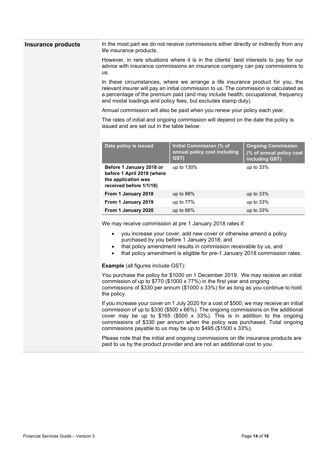| <b>Insurance products</b> | In the most part we do not receive commissions either directly or indirectly from any<br>life insurance products.                                                                                                                                                                                                              |                                                                                   |                                            |
|---------------------------|--------------------------------------------------------------------------------------------------------------------------------------------------------------------------------------------------------------------------------------------------------------------------------------------------------------------------------|-----------------------------------------------------------------------------------|--------------------------------------------|
|                           | However, in rare situations where it is in the clients' best interests to pay for our<br>advice with insurance commissions an insurance company can pay commissions to<br>us.                                                                                                                                                  |                                                                                   |                                            |
|                           | In these circumstances, where we arrange a life insurance product for you, the<br>relevant insurer will pay an initial commission to us. The commission is calculated as<br>a percentage of the premium paid (and may include health, occupational, frequency<br>and modal loadings and policy fees, but excludes stamp duty). |                                                                                   |                                            |
|                           | Annual commission will also be paid when you renew your policy each year.                                                                                                                                                                                                                                                      |                                                                                   |                                            |
|                           | issued and are set out in the table below:                                                                                                                                                                                                                                                                                     | The rates of initial and ongoing commission will depend on the date the policy is |                                            |
|                           | Date policy is issued                                                                                                                                                                                                                                                                                                          | <b>Initial Commission (% of</b>                                                   | <b>Ongoing Commission</b>                  |
|                           |                                                                                                                                                                                                                                                                                                                                | annual policy cost including<br>GST)                                              | (% of annual policy cost<br>including GST) |
|                           | Before 1 January 2018 or<br>before 1 April 2018 (where<br>the application was<br>received before 1/1/18)                                                                                                                                                                                                                       | up to 130%                                                                        | up to 33%                                  |
|                           | From 1 January 2018                                                                                                                                                                                                                                                                                                            | up to $88%$                                                                       | up to $33%$                                |
|                           | From 1 January 2019                                                                                                                                                                                                                                                                                                            | up to 77%                                                                         | up to 33%                                  |
|                           | From 1 January 2020                                                                                                                                                                                                                                                                                                            | up to 66%                                                                         | up to 33%                                  |
|                           |                                                                                                                                                                                                                                                                                                                                | We may receive commission at pre 1 January 2018 rates if:                         |                                            |

- you increase your cover, add new cover or otherwise amend a policy purchased by you before 1 January 2018; and
- that policy amendment results in commission receivable by us, and
- that policy amendment is eligible for pre-1 January 2018 commission rates.

**Example** (all figures include GST):

You purchase the policy for \$1000 on 1 December 2019. We may receive an initial commission of up to \$770 (\$1000 x 77%) in the first year and ongoing commissions of \$330 per annum (\$1000 x 33%) for as long as you continue to hold the policy.

If you increase your cover on 1 July 2020 for a cost of \$500, we may receive an initial commission of up to \$330 (\$500 x 66%). The ongoing commissions on the additional cover may be up to  $$165$  ( $$500 \times 33\%$ ). This is in addition to the ongoing commissions of \$330 per annum when the policy was purchased. Total ongoing commissions payable to us may be up to \$495 (\$1500 x 33%).

Please note that the initial and ongoing commissions on life insurance products are paid to us by the product provider and are not an additional cost to you.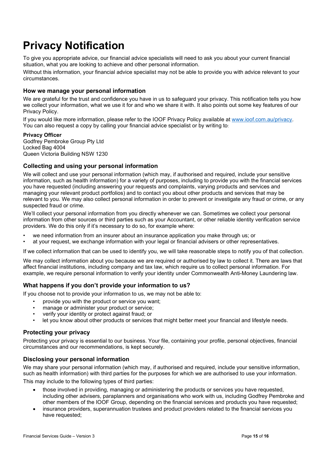# **Privacy Notification**

To give you appropriate advice, our financial advice specialists will need to ask you about your current financial situation, what you are looking to achieve and other personal information.

Without this information, your financial advice specialist may not be able to provide you with advice relevant to your circumstances.

#### **How we manage your personal information**

We are grateful for the trust and confidence you have in us to safeguard your privacy. This notification tells you how we collect your information, what we use it for and who we share it with. It also points out some key features of our Privacy Policy.

If you would like more information, please refer to the IOOF Privacy Policy available at [www.ioof.com.au/privacy.](http://www.ioof.com.au/privacy) You can also request a copy by calling your financial advice specialist or by writing to:

#### **Privacy Officer**

Godfrey Pembroke Group Pty Ltd Locked Bag 4004 Queen Victoria Building NSW 1230

#### **Collecting and using your personal information**

We will collect and use your personal information (which may, if authorised and required, include your sensitive information, such as health information) for a variety of purposes, including to provide you with the financial services you have requested (including answering your requests and complaints, varying products and services and managing your relevant product portfolios) and to contact you about other products and services that may be relevant to you. We may also collect personal information in order to prevent or investigate any fraud or crime, or any suspected fraud or crime.

We'll collect your personal information from you directly whenever we can. Sometimes we collect your personal information from other sources or third parties such as your Accountant, or other reliable identity verification service providers. We do this only if it's necessary to do so, for example where:

- we need information from an insurer about an insurance application you make through us; or
- at your request, we exchange information with your legal or financial advisers or other representatives.

If we collect information that can be used to identify you, we will take reasonable steps to notify you of that collection.

We may collect information about you because we are required or authorised by law to collect it. There are laws that affect financial institutions, including company and tax law, which require us to collect personal information. For example, we require personal information to verify your identity under Commonwealth Anti-Money Laundering law.

#### **What happens if you don't provide your information to us?**

If you choose not to provide your information to us, we may not be able to:

- provide you with the product or service you want;
- manage or administer your product or service;
- verify your identity or protect against fraud; or
- let you know about other products or services that might better meet your financial and lifestyle needs.

#### **Protecting your privacy**

Protecting your privacy is essential to our business. Your file, containing your profile, personal objectives, financial circumstances and our recommendations, is kept securely.

#### **Disclosing your personal information**

We may share your personal information (which may, if authorised and required, include your sensitive information, such as health information) with third parties for the purposes for which we are authorised to use your information. This may include to the following types of third parties:

- those involved in providing, managing or administering the products or services you have requested, including other advisers, paraplanners and organisations who work with us, including Godfrey Pembroke and other members of the IOOF Group, depending on the financial services and products you have requested;
- insurance providers, superannuation trustees and product providers related to the financial services you have requested;